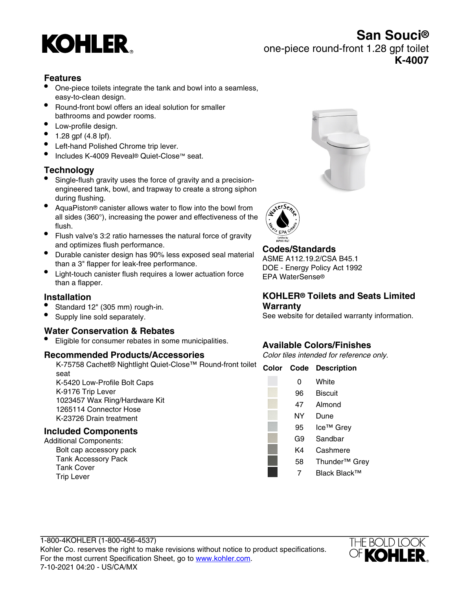

**San Souci®** one-piece round-front 1.28 gpf toilet **K-4007**

## **Features**

- One-piece toilets integrate the tank and bowl into a seamless, easy-to-clean design.
- Round-front bowl offers an ideal solution for smaller bathrooms and powder rooms.
- Low-profile design.
- $1.28$  gpf (4.8 lpf).
- Left-hand Polished Chrome trip lever.
- Includes K-4009 Reveal® Quiet-Close™ seat.

### **Technology**

- Single-flush gravity uses the force of gravity and a precisionengineered tank, bowl, and trapway to create a strong siphon during flushing.
- AquaPiston® canister allows water to flow into the bowl from all sides (360°), increasing the power and effectiveness of the flush.
- Flush valve's 3:2 ratio harnesses the natural force of gravity and optimizes flush performance.
- Durable canister design has 90% less exposed seal material than a 3" flapper for leak-free performance.
- Light-touch canister flush requires a lower actuation force than a flapper.

### **Installation**

- Standard 12" (305 mm) rough-in.
- Supply line sold separately.

#### **Water Conservation & Rebates**

• Eligible for consumer rebates in some municipalities.

#### **Recommended Products/Accessories**

K-75758 Cachet® Nightlight Quiet-Close™ Round-front toilet **Color Code Description** seat K-5420 Low-Profile Bolt Caps K-9176 Trip Lever 1023457 Wax Ring/Hardware Kit

1265114 Connector Hose K-23726 Drain treatment

### **Included Components**

Additional Components: Bolt cap accessory pack Tank Accessory Pack Tank Cover Trip Lever





**Codes/Standards**

ASME A112.19.2/CSA B45.1 DOE - Energy Policy Act 1992 EPA WaterSense®

#### **KOHLER® Toilets and Seats Limited Warranty**

See website for detailed warranty information.

### **Available Colors/Finishes**

Color tiles intended for reference only.

| νυιοι | coue | <b>Description</b>        |
|-------|------|---------------------------|
|       | 0    | White                     |
|       | 96   | <b>Biscuit</b>            |
|       | 47   | Almond                    |
|       | NΥ   | Dune                      |
|       | 95   | Ice <sup>™</sup> Grey     |
|       | G9   | Sandbar                   |
|       | K4   | Cashmere                  |
|       | 58   | Thunder <sup>™</sup> Grey |
|       | 7    | Black Black™              |